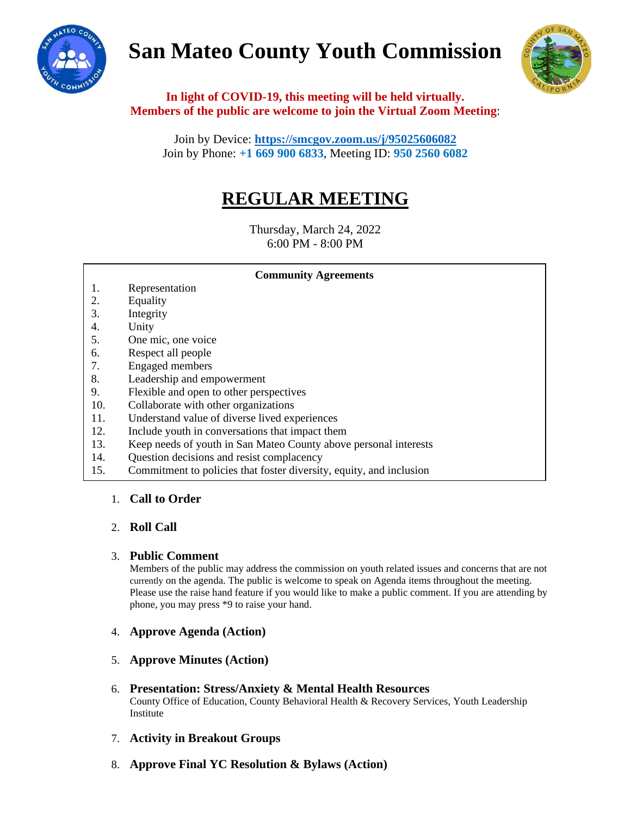# **San Mateo County Youth Commission**





**In light of COVID-19, this meeting will be held virtually. Members of the public are welcome to join the Virtual Zoom Meeting**:

Join by Device:**<https://smcgov.zoom.us/j/95025606082>** Join by Phone: **+1 669 900 6833**, Meeting ID: **950 2560 6082**

# **REGULAR MEETING**

Thursday, March 24, 2022 6:00 PM - 8:00 PM

**Community Agreements**

- 1. Representation
- 2. Equality
- 3. Integrity
- 4. Unity
- 5. One mic, one voice
- 6. Respect all people
- 7. Engaged members
- 8. Leadership and empowerment
- 9. Flexible and open to other perspectives
- 10. Collaborate with other organizations
- 11. Understand value of diverse lived experiences
- 12. Include youth in conversations that impact them
- 13. Keep needs of youth in San Mateo County above personal interests
- 14. Question decisions and resist complacency
- 15. Commitment to policies that foster diversity, equity, and inclusion

# 1. **Call to Order**

# 2. **Roll Call**

### 3. **Public Comment**

Members of the public may address the commission on youth related issues and concerns that are not currently on the agenda. The public is welcome to speak on Agenda items throughout the meeting. Please use the raise hand feature if you would like to make a public comment. If you are attending by phone, you may press \*9 to raise your hand.

- 4. **Approve Agenda (Action)**
- 5. **Approve Minutes (Action)**
- 6. **Presentation: Stress/Anxiety & Mental Health Resources**  County Office of Education, County Behavioral Health & Recovery Services, Youth Leadership Institute
- 7. **Activity in Breakout Groups**
- 8. **Approve Final YC Resolution & Bylaws (Action)**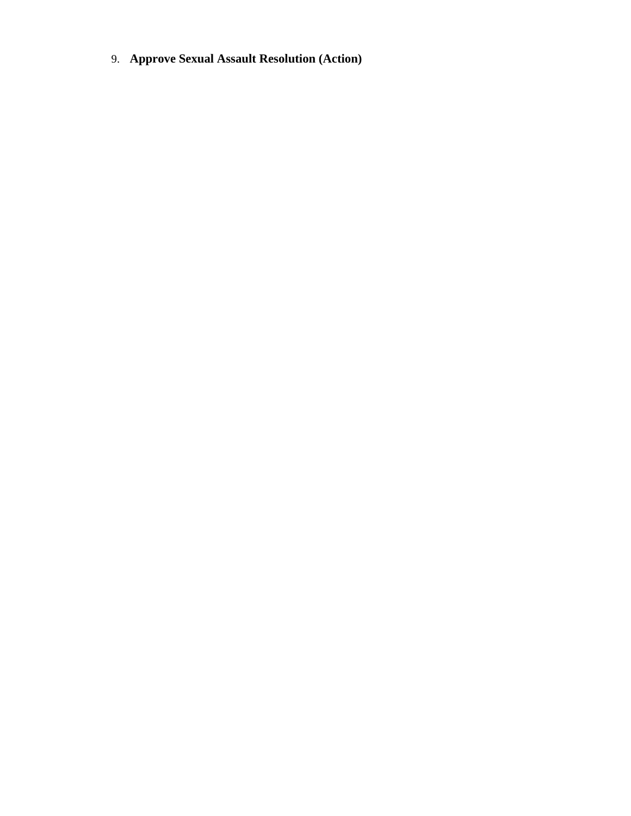9. **Approve Sexual Assault Resolution (Action)**